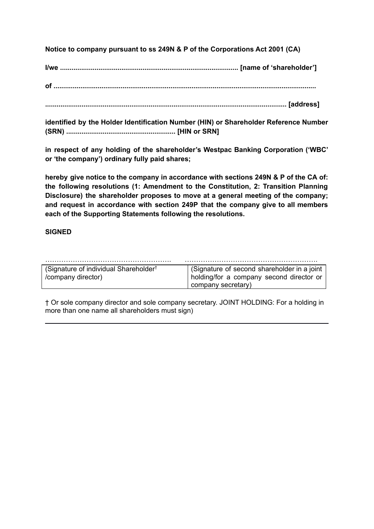**Notice to company pursuant to ss 249N & P of the Corporations Act 2001 (CA)**

**I/we ............................................................................................. [name of 'shareholder']**

**of .........................................................................................................................................**

**.............................................................................................................................. [address]**

**identified by the Holder Identification Number (HIN) or Shareholder Reference Number (SRN) ......................................................... [HIN or SRN]**

**in respect of any holding of the shareholder's Westpac Banking Corporation ('WBC' or 'the company') ordinary fully paid shares;**

**hereby give notice to the company in accordance with sections 249N & P of the CA of: the following resolutions (1: Amendment to the Constitution, 2: Transition Planning Disclosure) the shareholder proposes to move at a general meeting of the company; and request in accordance with section 249P that the company give to all members each of the Supporting Statements following the resolutions.**

# **SIGNED**

| (Signature of individual Shareholder <sup>†</sup> | (Signature of second shareholder in a joint |
|---------------------------------------------------|---------------------------------------------|
| /company director)                                | holding/for a company second director or    |
|                                                   | company secretary)                          |

† Or sole company director and sole company secretary. JOINT HOLDING: For a holding in more than one name all shareholders must sign)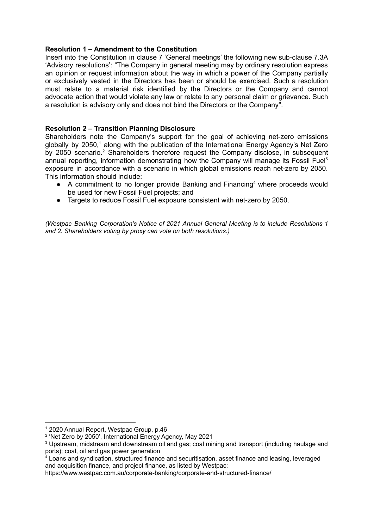#### **Resolution 1 – Amendment to the Constitution**

Insert into the Constitution in clause 7 'General meetings' the following new sub-clause 7.3A 'Advisory resolutions': "The Company in general meeting may by ordinary resolution express an opinion or request information about the way in which a power of the Company partially or exclusively vested in the Directors has been or should be exercised. Such a resolution must relate to a material risk identified by the Directors or the Company and cannot advocate action that would violate any law or relate to any personal claim or grievance. Such a resolution is advisory only and does not bind the Directors or the Company".

#### **Resolution 2 – Transition Planning Disclosure**

Shareholders note the Company's support for the goal of achieving net-zero emissions globally by 2050,<sup>1</sup> along with the publication of the International Energy Agency's Net Zero by 2050 scenario.<sup>2</sup> Shareholders therefore request the Company disclose, in subsequent annual reporting, information demonstrating how the Company will manage its Fossil Fuel<sup>3</sup> exposure in accordance with a scenario in which global emissions reach net-zero by 2050. This information should include:

- A commitment to no longer provide Banking and Financing<sup>4</sup> where proceeds would be used for new Fossil Fuel projects; and
- Targets to reduce Fossil Fuel exposure consistent with net-zero by 2050.

*(Westpac Banking Corporation's Notice of 2021 Annual General Meeting is to include Resolutions 1 and 2. Shareholders voting by proxy can vote on both resolutions.)*

<sup>1</sup> 2020 Annual Report, Westpac Group, p.46

<sup>2</sup> 'Net Zero by 2050', International Energy Agency, May 2021

<sup>3</sup> Upstream, midstream and downstream oil and gas; coal mining and transport (including haulage and ports); coal, oil and gas power generation

 $4$  Loans and syndication, structured finance and securitisation, asset finance and leasing, leveraged and acquisition finance, and project finance, as listed by Westpac:

https://www.westpac.com.au/corporate-banking/corporate-and-structured-finance/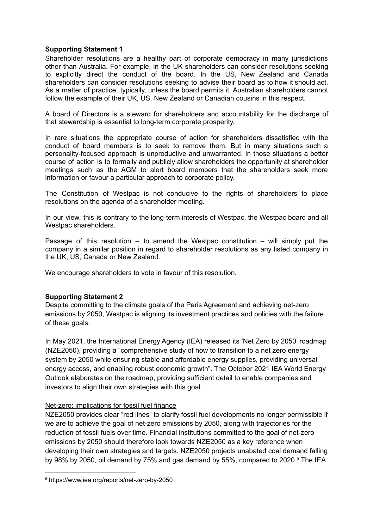### **Supporting Statement 1**

Shareholder resolutions are a healthy part of corporate democracy in many jurisdictions other than Australia. For example, in the UK shareholders can consider resolutions seeking to explicitly direct the conduct of the board. In the US, New Zealand and Canada shareholders can consider resolutions seeking to advise their board as to how it should act. As a matter of practice, typically, unless the board permits it, Australian shareholders cannot follow the example of their UK, US, New Zealand or Canadian cousins in this respect.

A board of Directors is a steward for shareholders and accountability for the discharge of that stewardship is essential to long-term corporate prosperity.

In rare situations the appropriate course of action for shareholders dissatisfied with the conduct of board members is to seek to remove them. But in many situations such a personality-focused approach is unproductive and unwarranted. In those situations a better course of action is to formally and publicly allow shareholders the opportunity at shareholder meetings such as the AGM to alert board members that the shareholders seek more information or favour a particular approach to corporate policy.

The Constitution of Westpac is not conducive to the rights of shareholders to place resolutions on the agenda of a shareholder meeting.

In our view, this is contrary to the long-term interests of Westpac, the Westpac board and all Westpac shareholders.

Passage of this resolution  $-$  to amend the Westpac constitution  $-$  will simply put the company in a similar position in regard to shareholder resolutions as any listed company in the UK, US, Canada or New Zealand.

We encourage shareholders to vote in favour of this resolution.

### **Supporting Statement 2**

Despite committing to the climate goals of the Paris Agreement and achieving net-zero emissions by 2050, Westpac is aligning its investment practices and policies with the failure of these goals.

In May 2021, the International Energy Agency (IEA) released its 'Net Zero by 2050' roadmap (NZE2050), providing a "comprehensive study of how to transition to a net zero energy system by 2050 while ensuring stable and affordable energy supplies, providing universal energy access, and enabling robust economic growth". The October 2021 IEA World Energy Outlook elaborates on the roadmap, providing sufficient detail to enable companies and investors to align their own strategies with this goal.

### Net-zero: implications for fossil fuel finance

NZE2050 provides clear "red lines" to clarify fossil fuel developments no longer permissible if we are to achieve the goal of net-zero emissions by 2050, along with trajectories for the reduction of fossil fuels over time. Financial institutions committed to the goal of net-zero emissions by 2050 should therefore look towards NZE2050 as a key reference when developing their own strategies and targets. NZE2050 projects unabated coal demand falling by 98% by 2050, oil demand by 75% and gas demand by 55%, compared to 2020.<sup>5</sup> The IEA

<sup>5</sup> https://www.iea.org/reports/net-zero-by-2050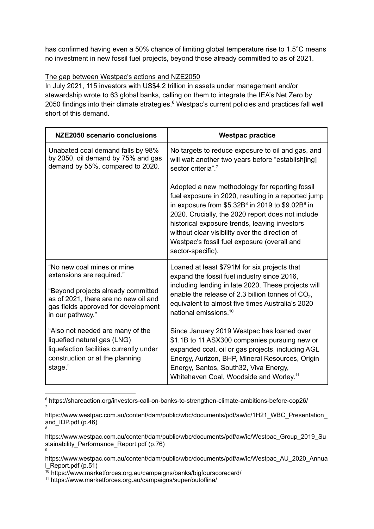has confirmed having even a 50% chance of limiting global temperature rise to 1.5°C means no investment in new fossil fuel projects, beyond those already committed to as of 2021.

# The gap between Westpac's actions and NZE2050

In July 2021, 115 investors with US\$4.2 trillion in assets under management and/or stewardship wrote to 63 global banks, calling on them to integrate the IEA's Net Zero by 2050 findings into their climate strategies.<sup>6</sup> Westpac's current policies and practices fall well short of this demand.

| NZE2050 scenario conclusions                                                                                                                                                                     | <b>Westpac practice</b>                                                                                                                                                                                                                                                                                                                                                                 |
|--------------------------------------------------------------------------------------------------------------------------------------------------------------------------------------------------|-----------------------------------------------------------------------------------------------------------------------------------------------------------------------------------------------------------------------------------------------------------------------------------------------------------------------------------------------------------------------------------------|
| Unabated coal demand falls by 98%<br>by 2050, oil demand by 75% and gas<br>demand by 55%, compared to 2020.                                                                                      | No targets to reduce exposure to oil and gas, and<br>will wait another two years before "establish[ing]<br>sector criteria". <sup>7</sup>                                                                                                                                                                                                                                               |
|                                                                                                                                                                                                  | Adopted a new methodology for reporting fossil<br>fuel exposure in 2020, resulting in a reported jump<br>in exposure from $$5.32B8$ in 2019 to $$9.02B9$ in<br>2020. Crucially, the 2020 report does not include<br>historical exposure trends, leaving investors<br>without clear visibility over the direction of<br>Westpac's fossil fuel exposure (overall and<br>sector-specific). |
| "No new coal mines or mine<br>extensions are required."<br>"Beyond projects already committed<br>as of 2021, there are no new oil and<br>gas fields approved for development<br>in our pathway." | Loaned at least \$791M for six projects that<br>expand the fossil fuel industry since 2016,<br>including lending in late 2020. These projects will<br>enable the release of 2.3 billion tonnes of $CO2$ ,<br>equivalent to almost five times Australia's 2020<br>national emissions. <sup>10</sup>                                                                                      |
| "Also not needed are many of the<br>liquefied natural gas (LNG)<br>liquefaction facilities currently under<br>construction or at the planning<br>stage."                                         | Since January 2019 Westpac has loaned over<br>\$1.1B to 11 ASX300 companies pursuing new or<br>expanded coal, oil or gas projects, including AGL<br>Energy, Aurizon, BHP, Mineral Resources, Origin<br>Energy, Santos, South32, Viva Energy,<br>Whitehaven Coal, Woodside and Worley. <sup>11</sup>                                                                                     |

<sup>7</sup> <sup>6</sup> https://shareaction.org/investors-call-on-banks-to-strengthen-climate-ambitions-before-cop26/

<sup>8</sup> https://www.westpac.com.au/content/dam/public/wbc/documents/pdf/aw/ic/1H21\_WBC\_Presentation\_ and IDP.pdf  $(p.46)$ 

<sup>9</sup> https://www.westpac.com.au/content/dam/public/wbc/documents/pdf/aw/ic/Westpac\_Group\_2019\_Su stainability\_Performance\_Report.pdf (p.76)

https://www.westpac.com.au/content/dam/public/wbc/documents/pdf/aw/ic/Westpac\_AU\_2020\_Annua l\_Report.pdf (p.51)

 $10$  https://www.marketforces.org.au/campaigns/banks/bigfourscorecard/

<sup>11</sup> https://www.marketforces.org.au/campaigns/super/outofline/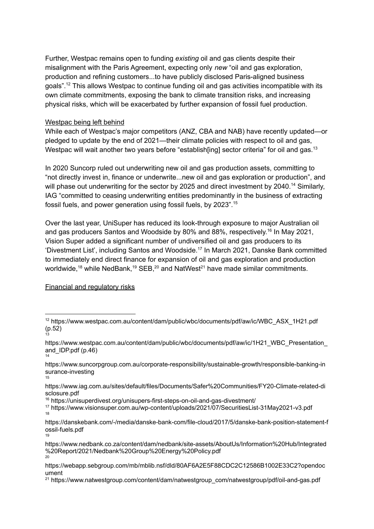Further, Westpac remains open to funding *existing* oil and gas clients despite their misalignment with the Paris Agreement, expecting only *new* "oil and gas exploration, production and refining customers...to have publicly disclosed Paris-aligned business goals".<sup>12</sup> This allows Westpac to continue funding oil and gas activities incompatible with its own climate commitments, exposing the bank to climate transition risks, and increasing physical risks, which will be exacerbated by further expansion of fossil fuel production.

### Westpac being left behind

While each of Westpac's major competitors (ANZ, CBA and NAB) have recently updated—or pledged to update by the end of 2021—their climate policies with respect to oil and gas, Westpac will wait another two years before "establish[ing] sector criteria" for oil and gas.<sup>13</sup>

In 2020 Suncorp ruled out underwriting new oil and gas production assets, committing to "not directly invest in, finance or underwrite...new oil and gas exploration or production", and will phase out underwriting for the sector by 2025 and direct investment by 2040.<sup>14</sup> Similarly, IAG "committed to ceasing underwriting entities predominantly in the business of extracting fossil fuels, and power generation using fossil fuels, by 2023". 15

Over the last year, UniSuper has reduced its look-through exposure to major Australian oil and gas producers Santos and Woodside by 80% and 88%, respectively. 16 In May 2021, Vision Super added a significant number of undiversified oil and gas producers to its 'Divestment List', including Santos and Woodside. 17 In March 2021, Danske Bank committed to immediately end direct finance for expansion of oil and gas exploration and production worldwide,<sup>18</sup> while NedBank,<sup>19</sup> SEB,<sup>20</sup> and NatWest<sup>21</sup> have made similar commitments.

# Financial and regulatory risks

<sup>13</sup> (p.52)<sup>12</sup> https://www.westpac.com.au/content/dam/public/wbc/documents/pdf/aw/ic/WBC\_ASX\_1H21.pdf

<sup>14</sup> https://www.westpac.com.au/content/dam/public/wbc/documents/pdf/aw/ic/1H21\_WBC\_Presentation\_ and\_IDP.pdf (p.46)

<sup>15</sup> https://www.suncorpgroup.com.au/corporate-responsibility/sustainable-growth/responsible-banking-in surance-investing

https://www.iag.com.au/sites/default/files/Documents/Safer%20Communities/FY20-Climate-related-di sclosure.pdf

<sup>16</sup> https://unisuperdivest.org/unisupers-first-steps-on-oil-and-gas-divestment/

<sup>18</sup> <sup>17</sup> https://www.visionsuper.com.au/wp-content/uploads/2021/07/SecuritiesList-31May2021-v3.pdf

<sup>19</sup> https://danskebank.com/-/media/danske-bank-com/file-cloud/2017/5/danske-bank-position-statement-f ossil-fuels.pdf

<sup>20</sup> https://www.nedbank.co.za/content/dam/nedbank/site-assets/AboutUs/Information%20Hub/Integrated %20Report/2021/Nedbank%20Group%20Energy%20Policy.pdf

https://webapp.sebgroup.com/mb/mblib.nsf/dld/80AF6A2E5F88CDC2C12586B1002E33C2?opendoc ument

<sup>21</sup> https://www.natwestgroup.com/content/dam/natwestgroup\_com/natwestgroup/pdf/oil-and-gas.pdf